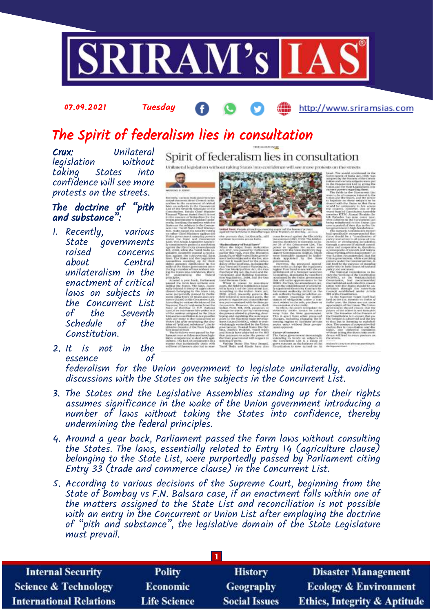

#### 07.09.2021 Tuesday

## http://www.sriramsias.com

# The Spirit of federalism lies in consultation

Crux: Unilateral legislation taking States into confidence will see more protests on the streets.

### The doctrine of "pith and substance":

- 1. Recently, various State governments raised concerns Central unilateralism in the enactment of critical laws on subjects in the Concurrent List of the Seventh<br>Schedule of the Schedule Constitution.
- 2. It is not in the essence

Spirit of federalism lies in consultation Unitateral legislation without raking States 1





are premio that, incidentals, will

es Hist West Bernard,

federalism for the Union government to legislate unilaterally, avoiding discussions with the States on the subjects in the Concurrent List.

- 3. The States and the Legislative Assemblies standing up for their rights assumes significance in the wake of the Union government introducing a number of laws without taking the States into confidence, thereby undermining the federal principles.
- 4. Around a year back, Parliament passed the farm laws without consulting the States. The laws, essentially related to Entry 14 (agriculture clause) belonging to the State List, were purportedly passed by Parliament citing Entry 33 (trade and commerce clause) in the Concurrent List.
- 5. According to various decisions of the Supreme Court, beginning from the State of Bombay vs F.N. Balsara case, if an enactment falls within one of the matters assigned to the State List and reconciliation is not possible with an entry in the Concurrent or Union List after employing the doctrine of "pith and substance", the legislative domain of the State Legislature must prevail.

| <b>Internal Security</b>        | <b>Polity</b>       | <b>History</b>       | <b>Disaster Management</b>              |
|---------------------------------|---------------------|----------------------|-----------------------------------------|
| <b>Science &amp; Technology</b> | <b>Economic</b>     | <b>Geography</b>     | <b>Ecology &amp; Environment</b>        |
| <b>International Relations</b>  | <b>Life Science</b> | <b>Social Issues</b> | <b>Ethics, Integrity &amp; Aptitude</b> |
|                                 |                     |                      |                                         |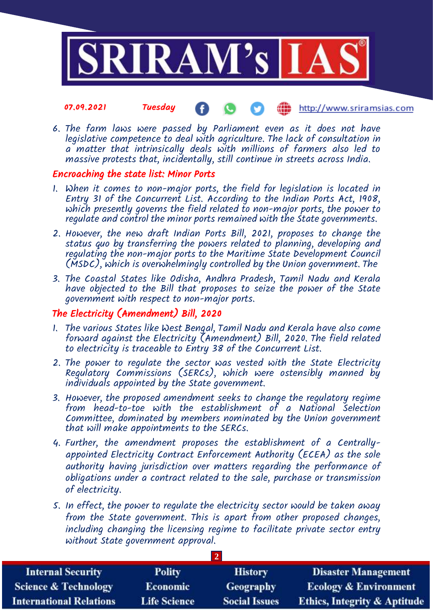

#### 07.09.2021 Tuesday http://www.sriramsias.com

6. The farm laws were passed by Parliament even as it does not have legislative competence to deal with agriculture. The lack of consultation in a matter that intrinsically deals with millions of farmers also led to massive protests that, incidentally, still continue in streets across India.

### Encroaching the state list: Minor Ports

- 1. When it comes to non-major ports, the field for legislation is located in Entry 31 of the Concurrent List. According to the Indian Ports Act, 1908, which presently governs the field related to non-major ports, the power to regulate and control the minor ports remained with the State governments.
- 2. However, the new draft Indian Ports Bill, 2021, proposes to change the status quo by transferring the powers related to planning, developing and regulating the non-major ports to the Maritime State Development Council (MSDC), which is overwhelmingly controlled by the Union government. The
- 3. The Coastal States like Odisha, Andhra Pradesh, Tamil Nadu and Kerala have objected to the Bill that proposes to seize the power of the State government with respect to non-major ports.

## The Electricity (Amendment) Bill, 2020

- 1. The various States like West Bengal, Tamil Nadu and Kerala have also come forward against the Electricity (Amendment) Bill, 2020. The field related to electricity is traceable to Entry 38 of the Concurrent List.
- 2. The power to regulate the sector was vested with the State Electricity Regulatory Commissions (SERCs), which were ostensibly manned by individuals appointed by the State government.
- 3. However, the proposed amendment seeks to change the regulatory regime from head-to-toe with the establishment of a National Selection Committee, dominated by members nominated by the Union government that will make appointments to the SERCs.
- 4. Further, the amendment proposes the establishment of a Centrallyappointed Electricity Contract Enforcement Authority (ECEA) as the sole authority having jurisdiction over matters regarding the performance of obligations under a contract related to the sale, purchase or transmission of electricity.
- 5. In effect, the power to regulate the electricity sector would be taken away from the State government. This is apart from other proposed changes, including changing the licensing regime to facilitate private sector entry without State government approval.

| <b>Internal Security</b>        | <b>Polity</b>       | <b>History</b>       | <b>Disaster Management</b>              |
|---------------------------------|---------------------|----------------------|-----------------------------------------|
| <b>Science &amp; Technology</b> | <b>Economic</b>     | Geography            | <b>Ecology &amp; Environment</b>        |
| <b>International Relations</b>  | <b>Life Science</b> | <b>Social Issues</b> | <b>Ethics, Integrity &amp; Aptitude</b> |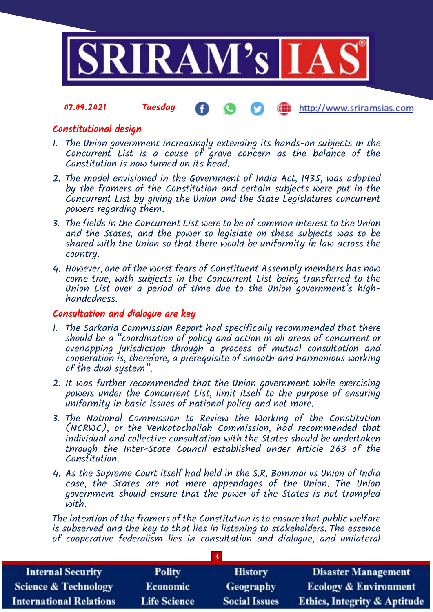

07.09.2021 Tuesday http://www.sriramsias.com

## Constitutional design

- 1. The Union government increasingly extending its hands-on subjects in the Concurrent List is a cause of grave concern as the balance of the Constitution is now turned on its head.
- 2. The model envisioned in the Government of India Act, 1935, was adopted by the framers of the Constitution and certain subjects were put in the Concurrent List by giving the Union and the State Legislatures concurrent powers regarding them.
- 3. The fields in the Concurrent List were to be of common interest to the Union and the States, and the power to legislate on these subjects was to be shared with the Union so that there would be uniformity in law across the country.
- 4. However, one of the worst fears of Constituent Assembly members has now come true, with subjects in the Concurrent List being transferred to the Union List over a period of time due to the Union government's highhandedness.

### Consultation and dialogue are key

- 1. The Sarkaria Commission Report had specifically recommended that there should be a "coordination of policy and action in all areas of concurrent or overlapping jurisdiction through a process of mutual consultation and cooperation is, therefore, a prerequisite of smooth and harmonious working of the dual system".
- 2. It was further recommended that the Union government while exercising powers under the Concurrent List, limit itself to the purpose of ensuring uniformity in basic issues of national policy and not more.
- 3. The National Commission to Review the Working of the Constitution (NCRWC), or the Venkatachaliah Commission, had recommended that individual and collective consultation with the States should be undertaken through the Inter-State Council established under Article 263 of the Constitution.
- 4. As the Supreme Court itself had held in the S.R. Bommai vs Union of India case, the States are not mere appendages of the Union. The Union government should ensure that the power of the States is not trampled with.

The intention of the framers of the Constitution is to ensure that public welfare is subserved and the key to that lies in listening to stakeholders. The essence of cooperative federalism lies in consultation and dialogue, and unilateral

**3**

| <b>Internal Security</b>        | <b>Polity</b>       | <b>History</b>       | <b>Disaster Management</b>              |
|---------------------------------|---------------------|----------------------|-----------------------------------------|
| <b>Science &amp; Technology</b> | <b>Economic</b>     | <b>Geography</b>     | <b>Ecology &amp; Environment</b>        |
| <b>International Relations</b>  | <b>Life Science</b> | <b>Social Issues</b> | <b>Ethics, Integrity &amp; Aptitude</b> |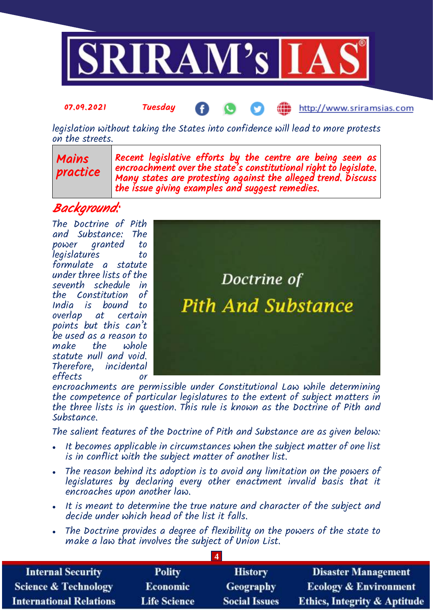

#### 07.09.2021 Tuesday http://www.sriramsias.com

legislation without taking the States into confidence will lead to more protests on the streets.

> Recent legislative efforts by the centre are being seen as encroachment over the state's constitutional right to legislate. Many states are protesting against the alleged trend. Discuss the issue giving examples and suggest remedies.

## Background:

Mains

practice

The Doctrine of Pith and Substance: The power granted to legislatures to formulate a statute under three lists of the seventh schedule in the Constitution of India is bound to overlap at certain points but this can't be used as a reason to  $make$  the statute null and void. Therefore, incidental effects or



encroachments are permissible under Constitutional Law while determining the competence of particular legislatures to the extent of subject matters in the three lists is in question. This rule is known as the Doctrine of Pith and Substance.

The salient features of the Doctrine of Pith and Substance are as given below:

- It becomes applicable in circumstances when the subject matter of one list is in conflict with the subject matter of another list.
- The reason behind its adoption is to avoid any limitation on the powers of legislatures by declaring every other enactment invalid basis that it encroaches upon another law.
- It is meant to determine the true nature and character of the subject and decide under which head of the list it falls.
- The Doctrine provides a degree of flexibility on the powers of the state to make a law that involves the subject of Union List.

| <b>Internal Security</b>        | <b>Polity</b>       | <b>History</b>       | <b>Disaster Management</b>              |
|---------------------------------|---------------------|----------------------|-----------------------------------------|
| <b>Science &amp; Technology</b> | <b>Economic</b>     | Geography            | <b>Ecology &amp; Environment</b>        |
| <b>International Relations</b>  | <b>Life Science</b> | <b>Social Issues</b> | <b>Ethics, Integrity &amp; Aptitude</b> |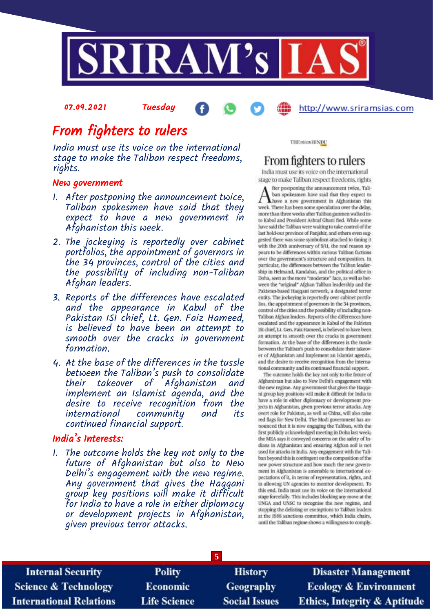

# From fighters to rulers

07.09.2021 Tuesday

India must use its voice on the international stage to make the Taliban respect freedoms, rights.

#### New government

- 1. After postponing the announcement twice, Taliban spokesmen have said that they expect to have a new government in Afghanistan this week.
- 2. The jockeying is reportedly over cabinet portfolios, the appointment of governors in the 34 provinces, control of the cities and the possibility of including non-Taliban Afghan leaders.
- 3. Reports of the differences have escalated and the appearance in Kabul of the Pakistan ISI chief, Lt. Gen. Faiz Hameed, is believed to have been an attempt to smooth over the cracks in government formation.
- 4. At the base of the differences in the tussle between the Taliban's push to consolidate their takeover of Afghanistan and implement an Islamist agenda, and the desire to receive recognition from the international community and its continued financial support.

### India's Interests:

1. The outcome holds the key not only to the future of Afghanistan but also to New Delhi's engagement with the new regime. Any government that gives the Haqqani group key positions will make it difficult for India to have a role in either diplomacy or development projects in Afghanistan, given previous terror attacks.

**THE MADE HINDU** 

# From fighters to rulers

http://www.sriramsias.com

India must use its voice on the international stage to make Taliban respect freedoms, rights

fter postponing the announcement twice. Taliban spokesmen have said that they expect to have a new government in Afghanistan this week. There has been some speculation over the delay, more than three weeks after Taliban gunmen walked into Kabul and President Ashraf Ghani fled. While some have said the Taliban were waiting to take control of the last hold-out province of Panjshir, and others even suggested there was some symbolism attached to timing it with the 20th anniversary of 9/11, the real reason appears to be differences within various Taliban factions over the government's structure and composition. In particular, the differences between the Taliban leadership in Helmand, Kandahar, and the political office in Doha, seen as the more "moderate" face, as well as between the "original" Afghan Taliban leadership and the Pakistan-based Haqqani network, a designated terror entity. The jockeying is reportedly over cabinet portfolios, the appointment of governors in the 34 provinces, control of the cities and the possibility of including non-Taliban Afghan leaders. Reports of the differences have escalated and the appearance in Kabul of the Pakistan ISI chief, Lt. Gen. Faiz Hameed, is believed to have been an attempt to smooth over the cracks in government formation. At the base of the differences is the tussle between the Taliban's push to consolidate their takeover of Afghanistan and implement an Islamist agenda, and the desire to receive recognition from the international community and its continued financial support.

The outcome holds the key not only to the future of Afghanistan but also to New Delhi's engagement with the new regime. Any government that gives the Haqqani group key positions will make it difficult for India to have a role in either diplomacy or development projects in Afghanistan, given previous terror attacks. Any overt role for Pakistan, as well as China, will also raise red flags for New Delhi. The Modi government has announced that it is now engaging the Taliban, with the first publicly acknowledged meeting in Doha last week; the MEA says it conveyed concerns on the safety of Indians in Afghanistan and ensuring Afghan soil is not used for attacks in India. Any engagement with the Taliban beyond this is contingent on the composition of the new power structure and how much the new government in Afghanistan is amenable to international expectations of it, in terms of representation, rights, and in allowing UN agencies to monitor development. To this end, India must use its voice on the international stage forcefully. This includes blocking any move at the UNGA and UNSC to recognise the new regime, and stopping the delisting or exemptions to Taliban leaders at the 1988 sanctions committee, which India chairs, until the Taliban regime shows a willingness to comply.

| <b>Internal Security</b>        | <b>Polity</b>       | <b>History</b>       | <b>Disaster Management</b>              |
|---------------------------------|---------------------|----------------------|-----------------------------------------|
| <b>Science &amp; Technology</b> | <b>Economic</b>     | Geography            | <b>Ecology &amp; Environment</b>        |
| <b>International Relations</b>  | <b>Life Science</b> | <b>Social Issues</b> | <b>Ethics, Integrity &amp; Aptitude</b> |